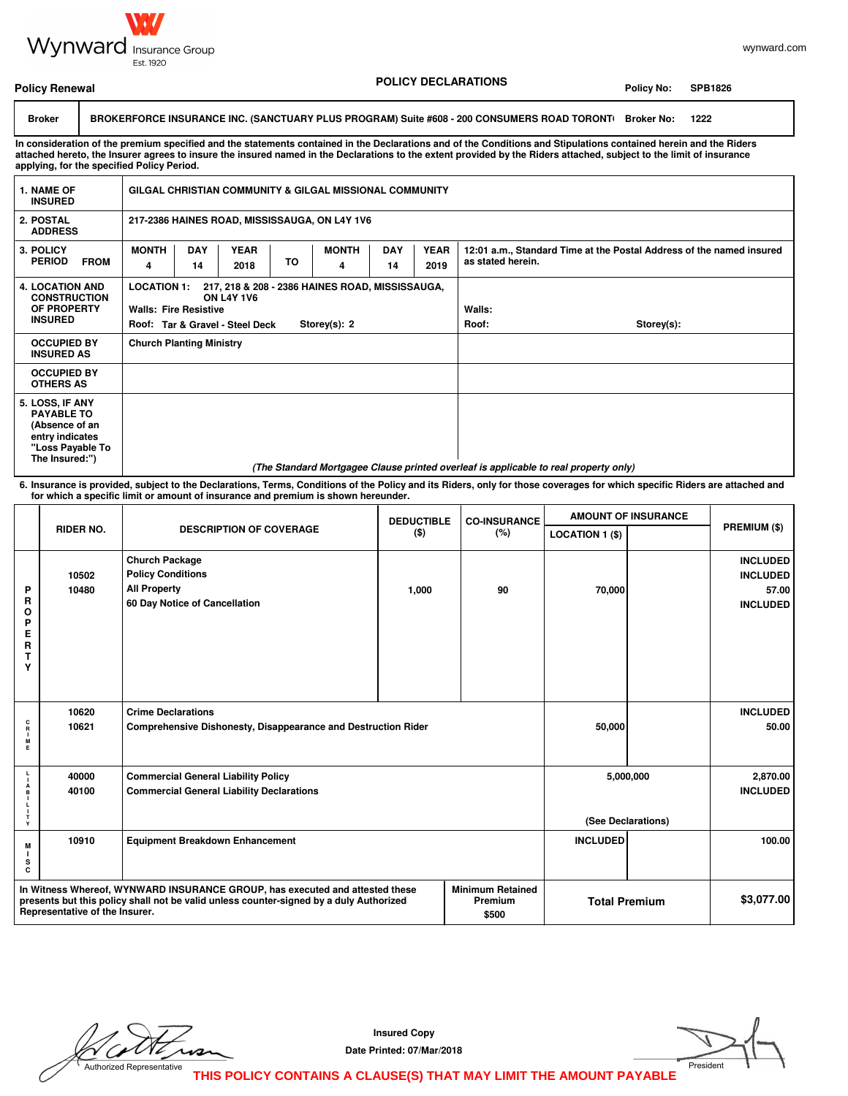

**applying, for the specified Policy Period.**

#### **POLICY DECLARATIONS**

**Policy Renewal Policy No: SPB1826**

## Broker | BROKERFORCE INSURANCE INC. (SANCTUARY PLUS PROGRAM) Suite #608 - 200 CONSUMERS ROAD TORONTO Broker No: 1222

**In consideration of the premium specified and the statements contained in the Declarations and of the Conditions and Stipulations contained herein and the Riders attached hereto, the Insurer agrees to insure the insured named in the Declarations to the extent provided by the Riders attached, subject to the limit of insurance** 

| 1. NAME OF<br><b>INSURED</b>                                                                                    | GILGAL CHRISTIAN COMMUNITY & GILGAL MISSIONAL COMMUNITY                                                                                                                           |  |  |  |                                                                                           |  |  |                                                                                                                                              |  |
|-----------------------------------------------------------------------------------------------------------------|-----------------------------------------------------------------------------------------------------------------------------------------------------------------------------------|--|--|--|-------------------------------------------------------------------------------------------|--|--|----------------------------------------------------------------------------------------------------------------------------------------------|--|
| 2. POSTAL<br><b>ADDRESS</b>                                                                                     | 217-2386 HAINES ROAD, MISSISSAUGA, ON L4Y 1V6                                                                                                                                     |  |  |  |                                                                                           |  |  |                                                                                                                                              |  |
| 3. POLICY<br><b>PERIOD</b><br><b>FROM</b>                                                                       | <b>DAY</b><br><b>MONTH</b><br><b>YEAR</b><br><b>MONTH</b><br><b>DAY</b><br><b>YEAR</b><br>TO<br>2019<br>14<br>2018<br>14<br>4<br>4                                                |  |  |  | 12:01 a.m., Standard Time at the Postal Address of the named insured<br>as stated herein. |  |  |                                                                                                                                              |  |
| <b>4. LOCATION AND</b><br><b>CONSTRUCTION</b><br>OF PROPERTY<br><b>INSURED</b>                                  | <b>LOCATION 1:</b><br>217, 218 & 208 - 2386 HAINES ROAD, MISSISSAUGA,<br><b>ON L4Y 1V6</b><br><b>Walls: Fire Resistive</b><br>Storey $(s)$ : 2<br>Roof: Tar & Gravel - Steel Deck |  |  |  |                                                                                           |  |  | Walls:<br>Roof:<br>Storey(s):                                                                                                                |  |
| <b>OCCUPIED BY</b><br><b>INSURED AS</b>                                                                         | <b>Church Planting Ministry</b>                                                                                                                                                   |  |  |  |                                                                                           |  |  |                                                                                                                                              |  |
| <b>OCCUPIED BY</b><br><b>OTHERS AS</b>                                                                          |                                                                                                                                                                                   |  |  |  |                                                                                           |  |  |                                                                                                                                              |  |
| 5. LOSS, IF ANY<br><b>PAYABLE TO</b><br>(Absence of an<br>entry indicates<br>"Loss Payable To<br>The Insured:") |                                                                                                                                                                                   |  |  |  |                                                                                           |  |  | $\overline{A}$ . And the set of the set of $\overline{A}$ , the set of the set of the set of the set of the set of the set of $\overline{A}$ |  |

**(The Standard Mortgagee Clause printed overleaf is applicable to real property only)**

**6. Insurance is provided, subject to the Declarations, Terms, Conditions of the Policy and its Riders, only for those coverages for which specific Riders are attached and for which a specific limit or amount of insurance and premium is shown hereunder.**

| <b>RIDER NO.</b>                                                                                                                                                       |                                    |                                                               | <b>DEDUCTIBLE</b> | <b>CO-INSURANCE</b>                       | <b>AMOUNT OF INSURANCE</b> |                    |                                    |
|------------------------------------------------------------------------------------------------------------------------------------------------------------------------|------------------------------------|---------------------------------------------------------------|-------------------|-------------------------------------------|----------------------------|--------------------|------------------------------------|
|                                                                                                                                                                        |                                    | <b>DESCRIPTION OF COVERAGE</b>                                | $($ \$)           | (%)                                       | <b>LOCATION 1 (\$)</b>     |                    | PREMIUM (\$)                       |
|                                                                                                                                                                        | 10502                              | <b>Church Package</b><br><b>Policy Conditions</b>             |                   |                                           |                            |                    | <b>INCLUDED</b><br><b>INCLUDED</b> |
| P                                                                                                                                                                      | 10480                              | <b>All Property</b>                                           | 1,000             | 90                                        | 70,000                     |                    | 57.00                              |
| R                                                                                                                                                                      |                                    | 60 Day Notice of Cancellation                                 |                   |                                           |                            |                    | <b>INCLUDED</b>                    |
| O<br>P                                                                                                                                                                 |                                    |                                                               |                   |                                           |                            |                    |                                    |
| Е<br>R                                                                                                                                                                 |                                    |                                                               |                   |                                           |                            |                    |                                    |
| т<br>Υ                                                                                                                                                                 |                                    |                                                               |                   |                                           |                            |                    |                                    |
|                                                                                                                                                                        |                                    |                                                               |                   |                                           |                            |                    |                                    |
|                                                                                                                                                                        |                                    |                                                               |                   |                                           |                            |                    |                                    |
|                                                                                                                                                                        | 10620<br><b>Crime Declarations</b> |                                                               |                   |                                           |                            |                    | <b>INCLUDED</b>                    |
| $_{\rm R}^{\rm C}$                                                                                                                                                     | 10621                              | Comprehensive Dishonesty, Disappearance and Destruction Rider | 50,000            |                                           | 50.00                      |                    |                                    |
| M<br>Е                                                                                                                                                                 |                                    |                                                               |                   |                                           |                            |                    |                                    |
|                                                                                                                                                                        | 40000                              | <b>Commercial General Liability Policy</b>                    |                   |                                           |                            | 5,000,000          |                                    |
|                                                                                                                                                                        | 40100                              | <b>Commercial General Liability Declarations</b>              |                   |                                           |                            |                    | 2,870.00<br><b>INCLUDED</b>        |
|                                                                                                                                                                        |                                    |                                                               |                   |                                           |                            |                    |                                    |
| Y                                                                                                                                                                      |                                    |                                                               |                   |                                           |                            | (See Declarations) |                                    |
| М                                                                                                                                                                      | 10910                              | <b>Equipment Breakdown Enhancement</b>                        |                   |                                           | <b>INCLUDED</b>            |                    | 100.00                             |
| s                                                                                                                                                                      |                                    |                                                               |                   |                                           |                            |                    |                                    |
| c                                                                                                                                                                      |                                    |                                                               |                   |                                           |                            |                    |                                    |
| In Witness Whereof, WYNWARD INSURANCE GROUP, has executed and attested these<br>presents but this policy shall not be valid unless counter-signed by a duly Authorized |                                    |                                                               |                   | <b>Minimum Retained</b><br><b>Premium</b> | <b>Total Premium</b>       |                    | \$3,077.00                         |
| Representative of the Insurer.                                                                                                                                         |                                    |                                                               | \$500             |                                           |                            |                    |                                    |

**Date Printed: 07/Mar/2018 Insured Copy**

| President |  |
|-----------|--|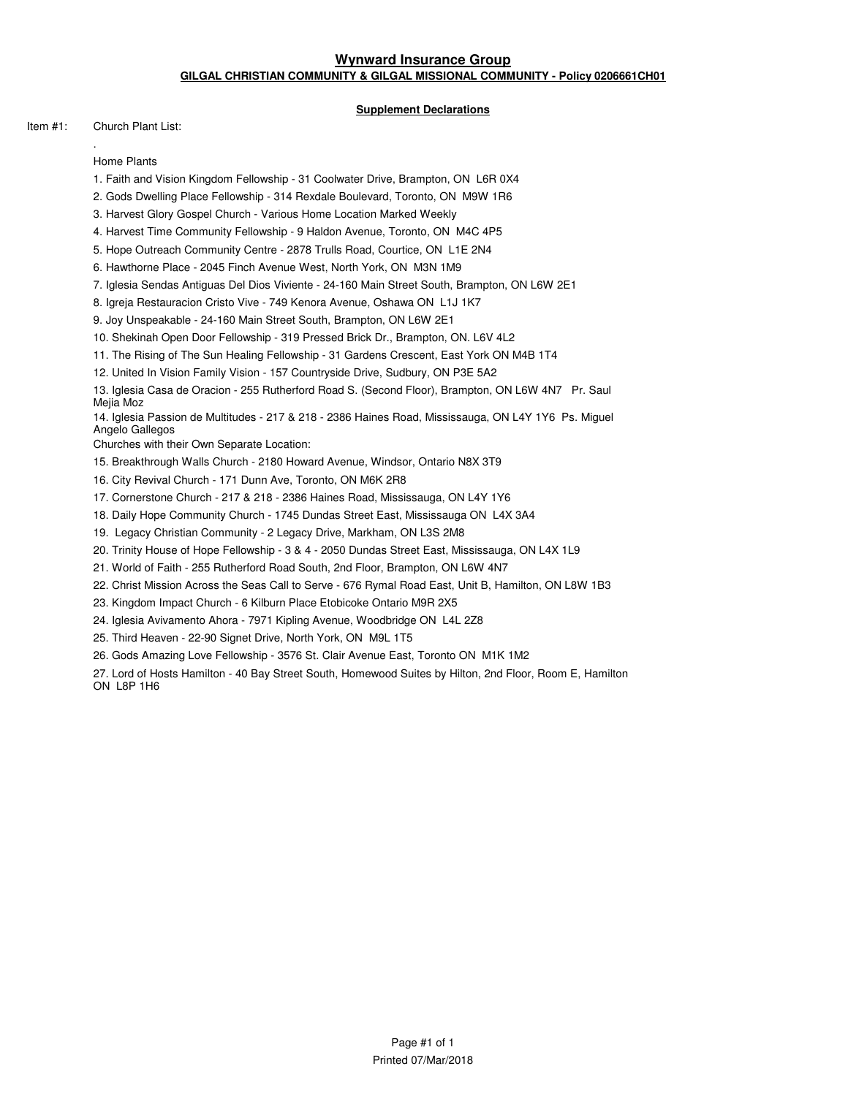## **GILGAL CHRISTIAN COMMUNITY & GILGAL MISSIONAL COMMUNITY - Policy 0206661CH01 Wynward Insurance Group**

#### **Supplement Declarations**

Item #1: Church Plant List: .

Home Plants

- 1. Faith and Vision Kingdom Fellowship 31 Coolwater Drive, Brampton, ON L6R 0X4
- 2. Gods Dwelling Place Fellowship 314 Rexdale Boulevard, Toronto, ON M9W 1R6
- 3. Harvest Glory Gospel Church Various Home Location Marked Weekly
- 4. Harvest Time Community Fellowship 9 Haldon Avenue, Toronto, ON M4C 4P5
- 5. Hope Outreach Community Centre 2878 Trulls Road, Courtice, ON L1E 2N4
- 6. Hawthorne Place 2045 Finch Avenue West, North York, ON M3N 1M9
- 7. Iglesia Sendas Antiguas Del Dios Viviente 24-160 Main Street South, Brampton, ON L6W 2E1
- 8. Igreja Restauracion Cristo Vive 749 Kenora Avenue, Oshawa ON L1J 1K7

9. Joy Unspeakable - 24-160 Main Street South, Brampton, ON L6W 2E1

- 10. Shekinah Open Door Fellowship 319 Pressed Brick Dr., Brampton, ON. L6V 4L2
- 11. The Rising of The Sun Healing Fellowship 31 Gardens Crescent, East York ON M4B 1T4
- 12. United In Vision Family Vision 157 Countryside Drive, Sudbury, ON P3E 5A2

13. Iglesia Casa de Oracion - 255 Rutherford Road S. (Second Floor), Brampton, ON L6W 4N7 Pr. Saul Mejia Moz

14. Iglesia Passion de Multitudes - 217 & 218 - 2386 Haines Road, Mississauga, ON L4Y 1Y6 Ps. Miguel Angelo Gallegos

Churches with their Own Separate Location:

- 15. Breakthrough Walls Church 2180 Howard Avenue, Windsor, Ontario N8X 3T9
- 16. City Revival Church 171 Dunn Ave, Toronto, ON M6K 2R8
- 17. Cornerstone Church 217 & 218 2386 Haines Road, Mississauga, ON L4Y 1Y6
- 18. Daily Hope Community Church 1745 Dundas Street East, Mississauga ON L4X 3A4
- 19. Legacy Christian Community 2 Legacy Drive, Markham, ON L3S 2M8
- 20. Trinity House of Hope Fellowship 3 & 4 2050 Dundas Street East, Mississauga, ON L4X 1L9
- 21. World of Faith 255 Rutherford Road South, 2nd Floor, Brampton, ON L6W 4N7
- 22. Christ Mission Across the Seas Call to Serve 676 Rymal Road East, Unit B, Hamilton, ON L8W 1B3
- 23. Kingdom Impact Church 6 Kilburn Place Etobicoke Ontario M9R 2X5
- 24. Iglesia Avivamento Ahora 7971 Kipling Avenue, Woodbridge ON L4L 2Z8
- 25. Third Heaven 22-90 Signet Drive, North York, ON M9L 1T5
- 26. Gods Amazing Love Fellowship 3576 St. Clair Avenue East, Toronto ON M1K 1M2
- 27. Lord of Hosts Hamilton 40 Bay Street South, Homewood Suites by Hilton, 2nd Floor, Room E, Hamilton ON L8P 1H6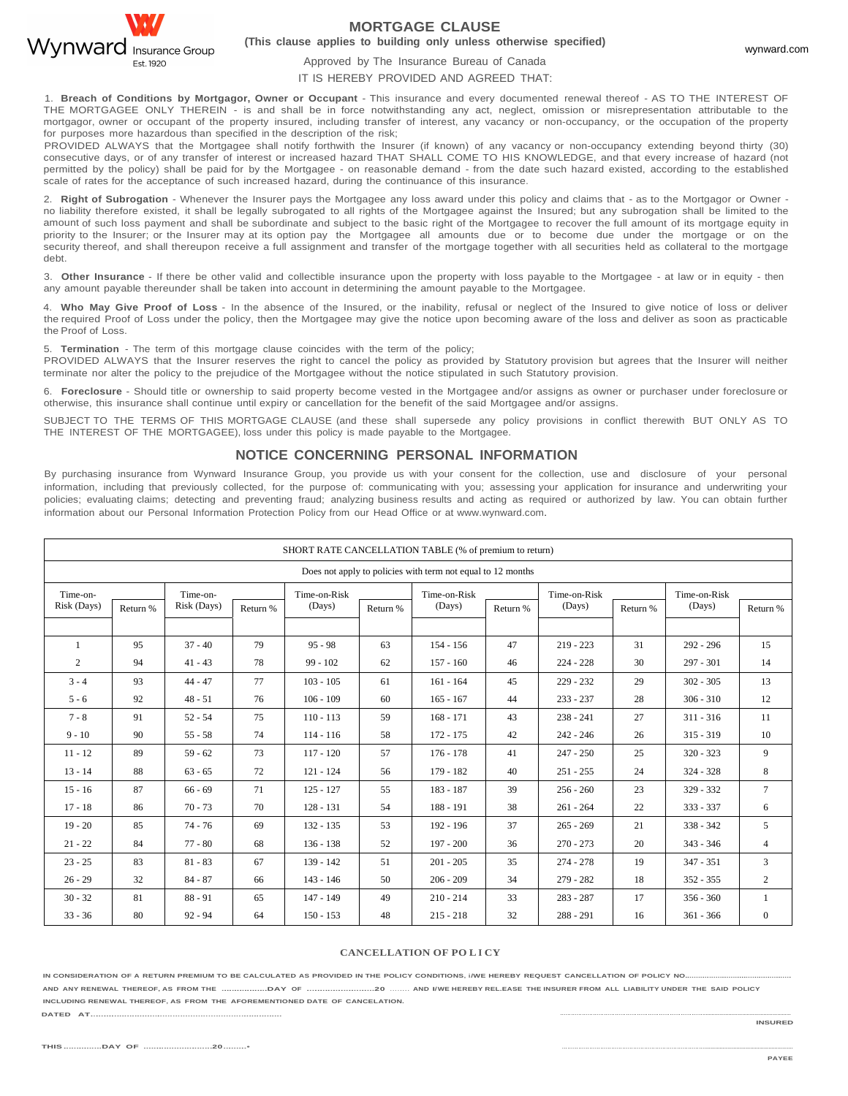

## **MORTGAGE CLAUSE**

**(This clause applies to building only unless otherwise specified)**

wynward.com

#### Approved by The Insurance Bureau of Canada IT IS HEREBY PROVIDED AND AGREED THAT:

1. **Breach of Conditions by Mortgagor, Owner or Occupant** - This insurance and every documented renewal thereof - AS TO THE INTEREST OF THE MORTGAGEE ONLY THEREIN - is and shall be in force notwithstanding any act, neglect, omission or misrepresentation attributable to the mortgagor, owner or occupant of the property insured, including transfer of interest, any vacancy or non-occupancy, or the occupation of the property for purposes more hazardous than specified in the description of the risk;

PROVIDED ALWAYS that the Mortgagee shall notify forthwith the Insurer (if known) of any vacancy or non-occupancy extending beyond thirty (30) consecutive days, or of any transfer of interest or increased hazard THAT SHALL COME TO HIS KNOWLEDGE, and that every increase of hazard (not permitted by the policy) shall be paid for by the Mortgagee - on reasonable demand - from the date such hazard existed, according to the established scale of rates for the acceptance of such increased hazard, during the continuance of this insurance.

2. **Right of Subrogation** - Whenever the Insurer pays the Mortgagee any loss award under this policy and claims that - as to the Mortgagor or Owner no liability therefore existed, it shall be legally subrogated to all rights of the Mortgagee against the Insured; but any subrogation shall be limited to the amount of such loss payment and shall be subordinate and subject to the basic right of the Mortgagee to recover the full amount of its mortgage equity in priority to the Insurer; or the Insurer may at its option pay the Mortgagee all amounts due or to become due under the mortgage or on the security thereof, and shall thereupon receive a full assignment and transfer of the mortgage together with all securities held as collateral to the mortgage debt.

3. **Other Insurance** - If there be other valid and collectible insurance upon the property with loss payable to the Mortgagee - at law or in equity - then any amount payable thereunder shall be taken into account in determining the amount payable to the Mortgagee.

4. **Who May Give Proof of Loss** - In the absence of the Insured, or the inability, refusal or neglect of the Insured to give notice of loss or deliver the required Proof of Loss under the policy, then the Mortgagee may give the notice upon becoming aware of the loss and deliver as soon as practicable the Proof of Loss.

5. **Termination** - The term of this mortgage clause coincides with the term of the policy;

PROVIDED ALWAYS that the Insurer reserves the right to cancel the policy as provided by Statutory provision but agrees that the Insurer will neither terminate nor alter the policy to the prejudice of the Mortgagee without the notice stipulated in such Statutory provision.

6. **Foreclosure** - Should title or ownership to said property become vested in the Mortgagee and/or assigns as owner or purchaser under foreclosure or otherwise, this insurance shall continue until expiry or cancellation for the benefit of the said Mortgagee and/or assigns.

SUBJECT TO THE TERMS OF THIS MORTGAGE CLAUSE (and these shall supersede any policy provisions in conflict therewith BUT ONLY AS TO THE INTEREST OF THE MORTGAGEE), loss under this policy is made payable to the Mortgagee.

#### **NOTICE CONCERNING PERSONAL INFORMATION**

By purchasing insurance from Wynward Insurance Group, you provide us with your consent for the collection, use and disclosure of your personal information, including that previously collected, for the purpose of: communicating with you; assessing your application for insurance and underwriting your policies; evaluating claims; detecting and preventing fraud; analyzing business results and acting as required or authorized by law. You can obtain further information about our Personal Information Protection Policy from our Head Office or at [www.wynward.com.](http://www.wynward.com/)

| SHORT RATE CANCELLATION TABLE (% of premium to return)      |          |                         |          |                        |          |                        |          |                        |          |                        |                  |
|-------------------------------------------------------------|----------|-------------------------|----------|------------------------|----------|------------------------|----------|------------------------|----------|------------------------|------------------|
| Does not apply to policies with term not equal to 12 months |          |                         |          |                        |          |                        |          |                        |          |                        |                  |
| Time-on-<br>Risk (Days)                                     | Return % | Time-on-<br>Risk (Days) | Return % | Time-on-Risk<br>(Days) | Return % | Time-on-Risk<br>(Days) | Return % | Time-on-Risk<br>(Days) | Return % | Time-on-Risk<br>(Days) | Return %         |
|                                                             |          |                         |          |                        |          |                        |          |                        |          |                        |                  |
| $\mathbf{1}$                                                | 95       | $37 - 40$               | 79       | $95 - 98$              | 63       | $154 - 156$            | 47       | $219 - 223$            | 31       | $292 - 296$            | 15               |
| $\overline{2}$                                              | 94       | $41 - 43$               | 78       | $99 - 102$             | 62       | $157 - 160$            | 46       | $224 - 228$            | 30       | $297 - 301$            | 14               |
| $3 - 4$                                                     | 93       | $44 - 47$               | 77       | $103 - 105$            | 61       | $161 - 164$            | 45       | $229 - 232$            | 29       | $302 - 305$            | 13               |
| $5 - 6$                                                     | 92       | $48 - 51$               | 76       | $106 - 109$            | 60       | $165 - 167$            | 44       | $233 - 237$            | 28       | $306 - 310$            | 12               |
| $7 - 8$                                                     | 91       | $52 - 54$               | 75       | $110 - 113$            | 59       | $168 - 171$            | 43       | $238 - 241$            | 27       | $311 - 316$            | 11               |
| $9 - 10$                                                    | 90       | $55 - 58$               | 74       | $114 - 116$            | 58       | $172 - 175$            | 42       | $242 - 246$            | 26       | $315 - 319$            | 10               |
| $11 - 12$                                                   | 89       | $59 - 62$               | 73       | $117 - 120$            | 57       | $176 - 178$            | 41       | $247 - 250$            | 25       | $320 - 323$            | 9                |
| $13 - 14$                                                   | 88       | $63 - 65$               | 72       | $121 - 124$            | 56       | 179 - 182              | 40       | $251 - 255$            | 24       | $324 - 328$            | 8                |
| $15 - 16$                                                   | 87       | $66 - 69$               | 71       | $125 - 127$            | 55       | $183 - 187$            | 39       | $256 - 260$            | 23       | $329 - 332$            | $7\overline{ }$  |
| $17 - 18$                                                   | 86       | $70 - 73$               | 70       | $128 - 131$            | 54       | 188 - 191              | 38       | $261 - 264$            | 22       | 333 - 337              | 6                |
| $19 - 20$                                                   | 85       | $74 - 76$               | 69       | $132 - 135$            | 53       | 192 - 196              | 37       | $265 - 269$            | 21       | $338 - 342$            | 5                |
| $21 - 22$                                                   | 84       | $77 - 80$               | 68       | $136 - 138$            | 52       | $197 - 200$            | 36       | $270 - 273$            | 20       | $343 - 346$            | $\overline{4}$   |
| $23 - 25$                                                   | 83       | $81 - 83$               | 67       | $139 - 142$            | 51       | $201 - 205$            | 35       | $274 - 278$            | 19       | $347 - 351$            | 3                |
| $26 - 29$                                                   | 32       | $84 - 87$               | 66       | $143 - 146$            | 50       | $206 - 209$            | 34       | $279 - 282$            | 18       | $352 - 355$            | 2                |
| $30 - 32$                                                   | 81       | $88 - 91$               | 65       | 147 - 149              | 49       | $210 - 214$            | 33       | $283 - 287$            | 17       | $356 - 360$            | $\mathbf{1}$     |
| $33 - 36$                                                   | 80       | $92 - 94$               | 64       | $150 - 153$            | 48       | $215 - 218$            | 32       | $288 - 291$            | 16       | $361 - 366$            | $\boldsymbol{0}$ |

#### **CANCELLATION OF PO L I CY**

IN CONSIDERATION OF A RETURN PREMIUM TO BE CALCULATED AS PROVIDED IN THE POLICY CONDITIONS, I/WE HEREBY REQUEST CANCELLATION OF POLICY NO.. **AND ANY RENEWAL THEREOF, AS FROM THE ..................DAY OF ..........................20** ........ **AND I/ WE HEREBY REL.EASE THE INSURER FROM ALL LIABILITY UNDER THE SAID POLICY INCLUDING RENEWAL THEREOF, AS FROM THE AFOREMENTIONED DATE OF CANCELATION. DATED AT...........................................................................** ……………………………………………………………………..........................................................

……………………………………………………………………..........................................................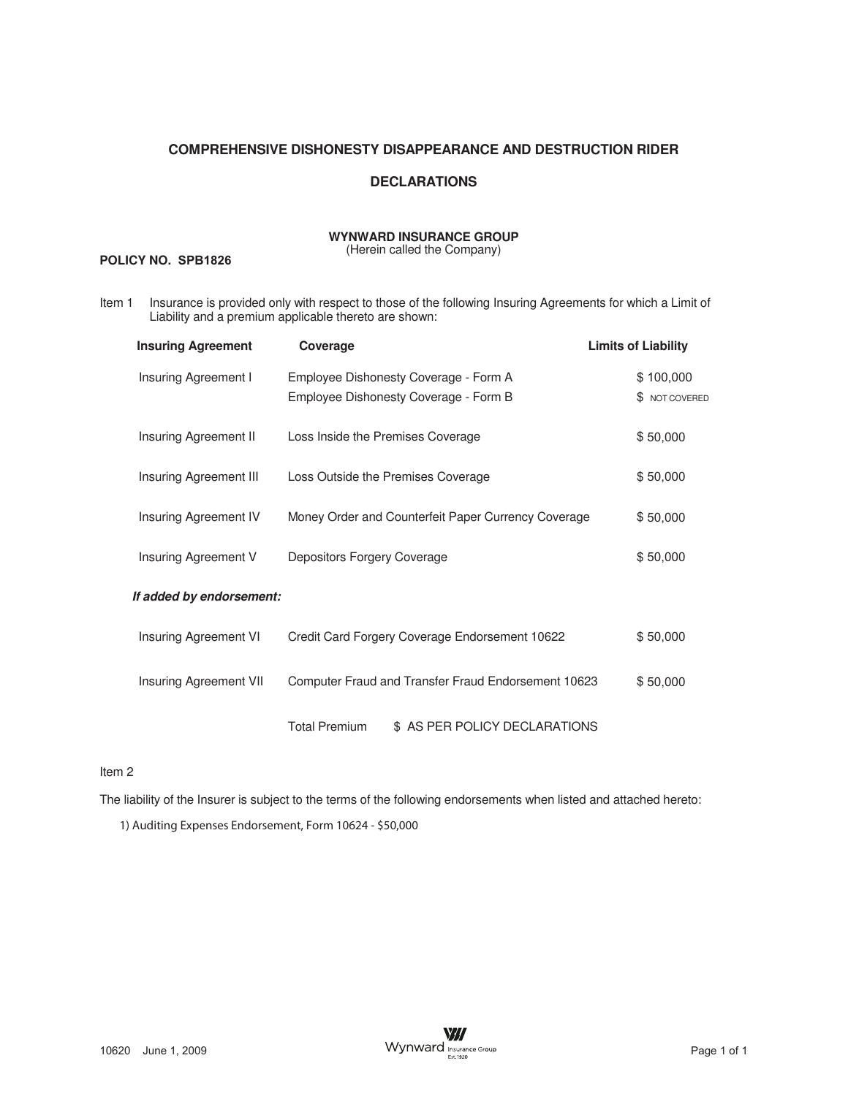## **COMPREHENSIVE DISHONESTY DISAPPEARANCE AND DESTRUCTION RIDER**

## **DECLARATIONS**

## **WYNWARD INSURANCE GROUP**

(Herein called the Company)

## **POLICY NO.63%1826**

Item 1 Insurance is provided only with respect to those of the following Insuring Agreements for which a Limit of Liability and a premium applicable thereto are shown:

| <b>Insuring Agreement</b>    | Coverage                                                                       | <b>Limits of Liability</b>  |
|------------------------------|--------------------------------------------------------------------------------|-----------------------------|
| Insuring Agreement I         | Employee Dishonesty Coverage - Form A<br>Employee Dishonesty Coverage - Form B | \$100,000<br>\$ NOT COVERED |
| Insuring Agreement II        | Loss Inside the Premises Coverage                                              | \$50,000                    |
| Insuring Agreement III       | Loss Outside the Premises Coverage                                             | \$50,000                    |
| Insuring Agreement IV        | Money Order and Counterfeit Paper Currency Coverage                            | \$50,000                    |
| Insuring Agreement V         | Depositors Forgery Coverage                                                    | \$50,000                    |
| If added by endorsement:     |                                                                                |                             |
| <b>Insuring Agreement VI</b> | Credit Card Forgery Coverage Endorsement 10622                                 | \$50,000                    |
| Insuring Agreement VII       | Computer Fraud and Transfer Fraud Endorsement 10623                            | \$50,000                    |
|                              | \$ AS PER POLICY DECLARATIONS<br><b>Total Premium</b>                          |                             |

## Item 2

The liability of the Insurer is subject to the terms of the following endorsements when listed and attached hereto:

1) Auditing Expenses Endorsement, Form 10624 - \$50,000